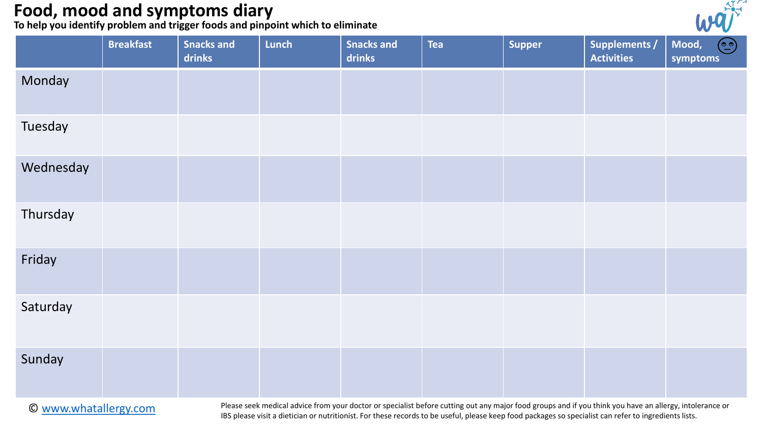**To help you identify problem and trigger foods and pinpoint which to eliminate**



|           | <b>Breakfast</b> | <b>Snacks and</b><br>drinks | Lunch | <b>Snacks and</b><br>drinks | <b>Tea</b> | <b>Supper</b> | <b>Supplements /</b><br><b>Activities</b> | $\odot$<br>Mood,<br>symptoms |
|-----------|------------------|-----------------------------|-------|-----------------------------|------------|---------------|-------------------------------------------|------------------------------|
| Monday    |                  |                             |       |                             |            |               |                                           |                              |
| Tuesday   |                  |                             |       |                             |            |               |                                           |                              |
| Wednesday |                  |                             |       |                             |            |               |                                           |                              |
| Thursday  |                  |                             |       |                             |            |               |                                           |                              |
| Friday    |                  |                             |       |                             |            |               |                                           |                              |
| Saturday  |                  |                             |       |                             |            |               |                                           |                              |
| Sunday    |                  |                             |       |                             |            |               |                                           |                              |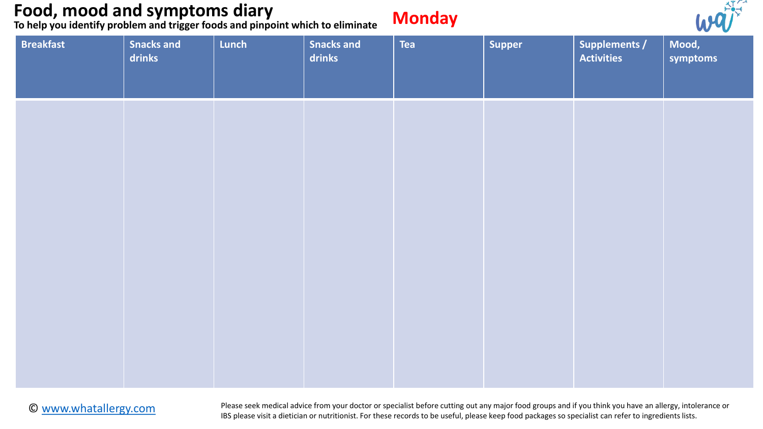**To help you identify problem and trigger foods and pinpoint which to eliminate**

# **Monday**



| <b>Breakfast</b> | Snacks and<br>drinks | Lunch | <b>Snacks and</b><br>drinks | <b>Tea</b> | Supper | <b>Supplements /</b><br><b>Activities</b> | $\sim$ $\sim$ $\sim$<br>Mood,<br>symptoms |
|------------------|----------------------|-------|-----------------------------|------------|--------|-------------------------------------------|-------------------------------------------|
|                  |                      |       |                             |            |        |                                           |                                           |
|                  |                      |       |                             |            |        |                                           |                                           |
|                  |                      |       |                             |            |        |                                           |                                           |
|                  |                      |       |                             |            |        |                                           |                                           |
|                  |                      |       |                             |            |        |                                           |                                           |

#### © [www.whatallergy.com](http://www.whatallergy.com/)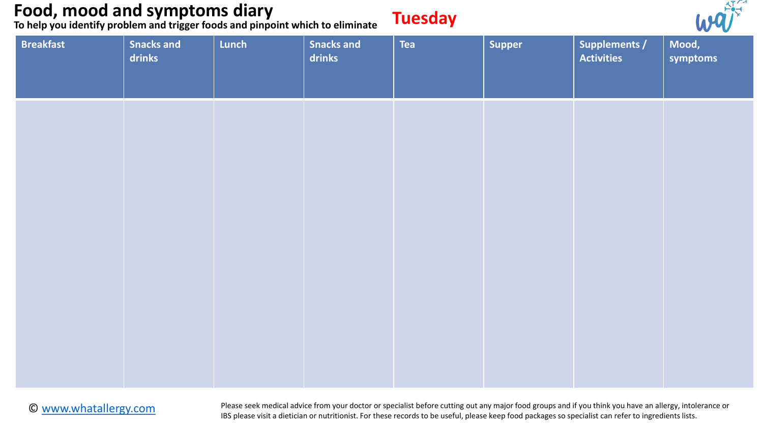**To help you identify problem and trigger foods and pinpoint which to eliminate**

# **Tuesday**



| <b>Breakfast</b> | <b>Snacks and</b><br>drinks | Lunch | Snacks and<br>drinks | Tea | Supper | Supplements /<br><b>Activities</b> | the contract of the contract of the<br>Mood,<br>symptoms |
|------------------|-----------------------------|-------|----------------------|-----|--------|------------------------------------|----------------------------------------------------------|
|                  |                             |       |                      |     |        |                                    |                                                          |
|                  |                             |       |                      |     |        |                                    |                                                          |
|                  |                             |       |                      |     |        |                                    |                                                          |
|                  |                             |       |                      |     |        |                                    |                                                          |
|                  |                             |       |                      |     |        |                                    |                                                          |

#### © [www.whatallergy.com](http://www.whatallergy.com/)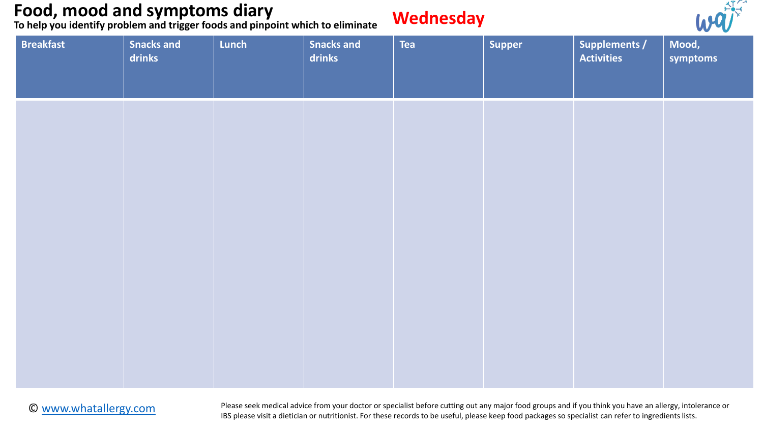**To help you identify problem and trigger foods and pinpoint which to eliminate**

#### **Wednesday**



| <b>Breakfast</b> | Snacks and<br>drinks | Lunch | <b>Snacks and</b><br>drinks | Tea | Supper | <b>Supplements /</b><br><b>Activities</b> | $\sim$ $\sim$<br>Mood,<br>symptoms |
|------------------|----------------------|-------|-----------------------------|-----|--------|-------------------------------------------|------------------------------------|
|                  |                      |       |                             |     |        |                                           |                                    |
|                  |                      |       |                             |     |        |                                           |                                    |
|                  |                      |       |                             |     |        |                                           |                                    |
|                  |                      |       |                             |     |        |                                           |                                    |
|                  |                      |       |                             |     |        |                                           |                                    |

#### © [www.whatallergy.com](http://www.whatallergy.com/)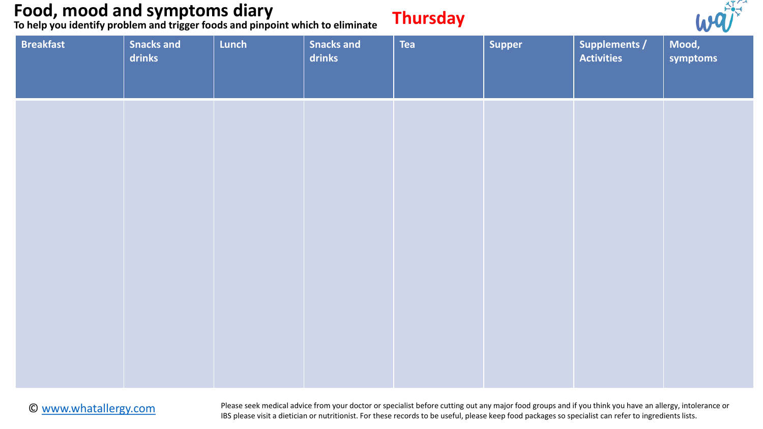**To help you identify problem and trigger foods and pinpoint which to eliminate**

### **Thursday**



| <b>Breakfast</b> | Snacks and<br>drinks | Lunch | <b>Snacks and</b><br>drinks | Tea | Supper | <b>Supplements /</b><br><b>Activities</b> | $\sim$ $\sim$<br>Mood,<br>symptoms |
|------------------|----------------------|-------|-----------------------------|-----|--------|-------------------------------------------|------------------------------------|
|                  |                      |       |                             |     |        |                                           |                                    |
|                  |                      |       |                             |     |        |                                           |                                    |
|                  |                      |       |                             |     |        |                                           |                                    |
|                  |                      |       |                             |     |        |                                           |                                    |
|                  |                      |       |                             |     |        |                                           |                                    |

#### © [www.whatallergy.com](http://www.whatallergy.com/)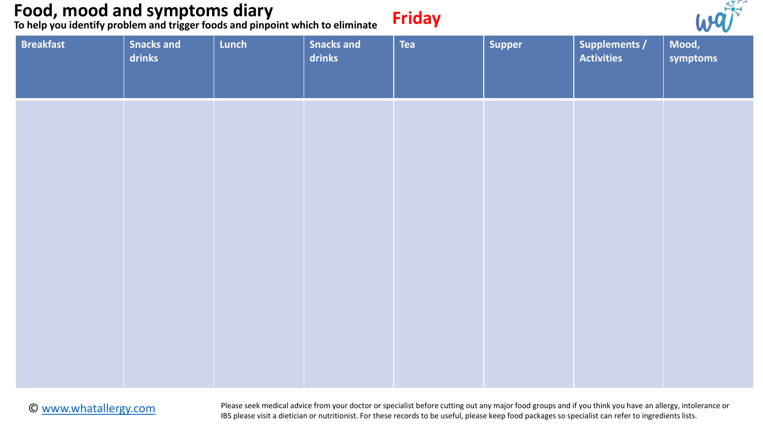**To help you identify problem and trigger foods and pinpoint which to eliminate**

| Frida |
|-------|
|-------|



| <b>Breakfast</b> | <b>Snacks and</b><br>drinks | Lunch | Snacks and<br>drinks | <b>Tea</b> | Supper | Supplements /<br><b>Activities</b> | Mood,<br>symptoms |
|------------------|-----------------------------|-------|----------------------|------------|--------|------------------------------------|-------------------|
|                  |                             |       |                      |            |        |                                    |                   |
|                  |                             |       |                      |            |        |                                    |                   |
|                  |                             |       |                      |            |        |                                    |                   |
|                  |                             |       |                      |            |        |                                    |                   |
|                  |                             |       |                      |            |        |                                    |                   |

#### © [www.whatallergy.com](http://www.whatallergy.com/)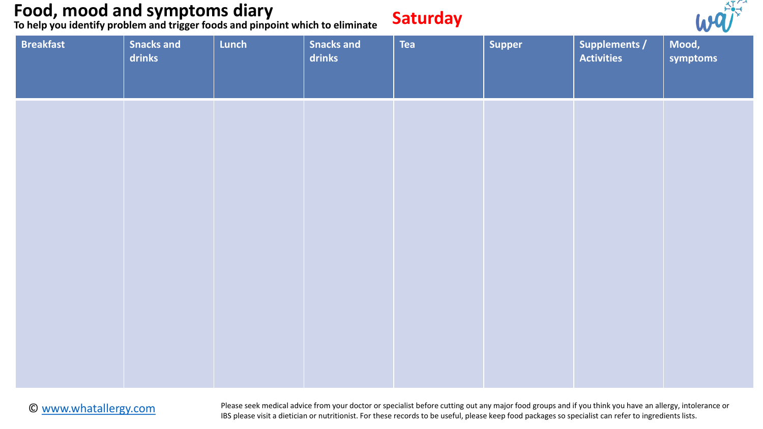**To help you identify problem and trigger foods and pinpoint which to eliminate**

### **Saturday**



| <b>Breakfast</b> | Snacks and<br>drinks | Lunch | <b>Snacks and</b><br>drinks | <b>Tea</b> | Supper | <b>Supplements /</b><br><b>Activities</b> | the contract of the contract of the<br>Mood,<br>symptoms |
|------------------|----------------------|-------|-----------------------------|------------|--------|-------------------------------------------|----------------------------------------------------------|
|                  |                      |       |                             |            |        |                                           |                                                          |
|                  |                      |       |                             |            |        |                                           |                                                          |
|                  |                      |       |                             |            |        |                                           |                                                          |
|                  |                      |       |                             |            |        |                                           |                                                          |
|                  |                      |       |                             |            |        |                                           |                                                          |

#### © [www.whatallergy.com](http://www.whatallergy.com/)